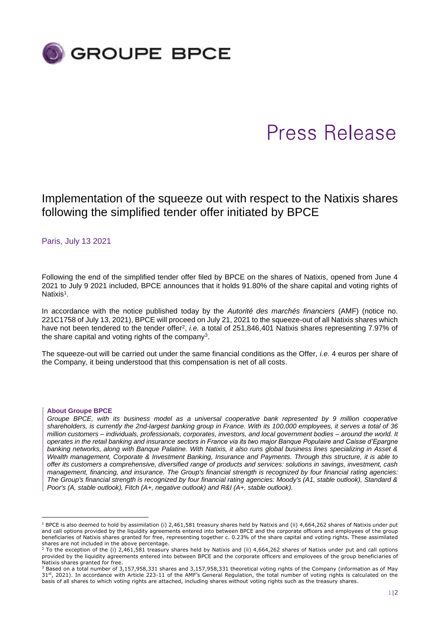

# Press Release

Implementation of the squeeze out with respect to the Natixis shares following the simplified tender offer initiated by BPCE

Paris, July 13 2021

Following the end of the simplified tender offer filed by BPCE on the shares of Natixis, opened from June 4 2021 to July 9 2021 included, BPCE announces that it holds 91.80% of the share capital and voting rights of Natixis<sup>1</sup>.

In accordance with the notice published today by the *Autorité des marchés financiers* (AMF) (notice no. 221C1758 of July 13, 2021), BPCE will proceed on July 21, 2021 to the squeeze-out of all Natixis shares which have not been tendered to the tender offer<sup>2</sup>, *i.e.* a total of 251,846,401 Natixis shares representing 7.97% of the share capital and voting rights of the company<sup>3</sup>.

The squeeze-out will be carried out under the same financial conditions as the Offer, *i.e.* 4 euros per share of the Company, it being understood that this compensation is net of all costs.

## **About Groupe BPCE**

*Groupe BPCE, with its business model as a universal cooperative bank represented by 9 million cooperative shareholders, is currently the 2nd-largest banking group in France. With its 100,000 employees, it serves a total of 36 million customers – individuals, professionals, corporates, investors, and local government bodies – around the world. It operates in the retail banking and insurance sectors in France via its two major Banque Populaire and Caisse d'Epargne banking networks, along with Banque Palatine. With Natixis, it also runs global business lines specializing in Asset & Wealth management, Corporate & Investment Banking, Insurance and Payments. Through this structure, it is able to offer its customers a comprehensive, diversified range of products and services: solutions in savings, investment, cash management, financing, and insurance. The Group's financial strength is recognized by four financial rating agencies: The Group's financial strength is recognized by four financial rating agencies: Moody's (A1, stable outlook), Standard & Poor's (A, stable outlook), Fitch (A+, negative outlook) and R&I (A+, stable outlook).*

 $1$  BPCE is also deemed to hold by assimilation (i) 2,461,581 treasury shares held by Natixis and (ii) 4,664,262 shares of Natixis under put and call options provided by the liquidity agreements entered into between BPCE and the corporate officers and employees of the group beneficiaries of Natixis shares granted for free, representing together c. 0.23% of the share capital and voting rights. These assimilated shares are not included in the above percentage.

<sup>&</sup>lt;sup>2</sup> To the exception of the (i) 2,461,581 treasury shares held by Natixis and (ii) 4,664,262 shares of Natixis under put and call options provided by the liquidity agreements entered into between BPCE and the corporate officers and employees of the group beneficiaries of Natixis shares granted for free.

 $3$  Based on a total number of 3,157,958,331 shares and 3,157,958,331 theoretical voting rights of the Company (information as of May 31st, 2021). In accordance with Article 223-11 of the AMF's General Regulation, the total number of voting rights is calculated on the basis of all shares to which voting rights are attached, including shares without voting rights such as the treasury shares.